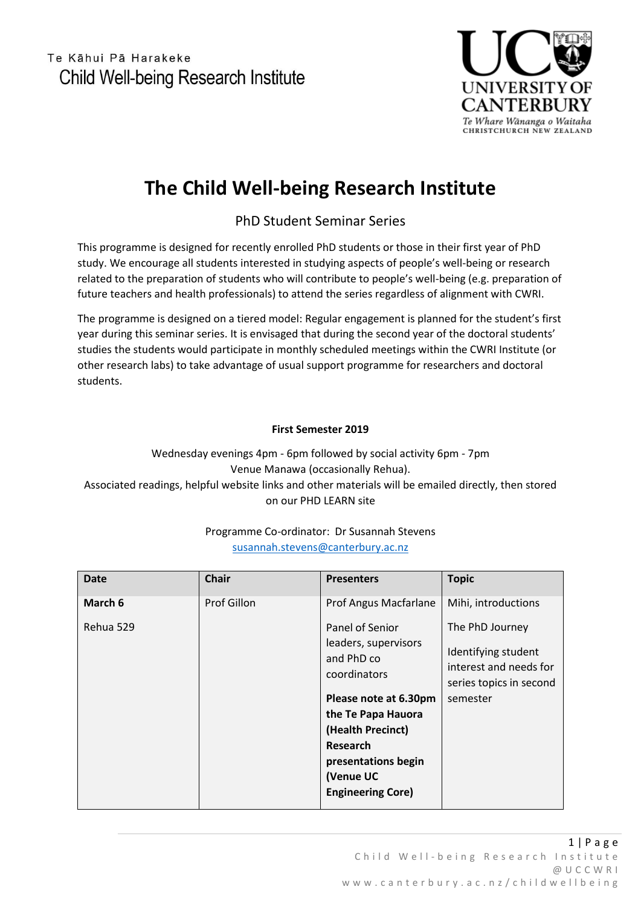

# **The Child Well-being Research Institute**

# PhD Student Seminar Series

This programme is designed for recently enrolled PhD students or those in their first year of PhD study. We encourage all students interested in studying aspects of people's well-being or research related to the preparation of students who will contribute to people's well-being (e.g. preparation of future teachers and health professionals) to attend the series regardless of alignment with CWRI.

The programme is designed on a tiered model: Regular engagement is planned for the student's first year during this seminar series. It is envisaged that during the second year of the doctoral students' studies the students would participate in monthly scheduled meetings within the CWRI Institute (or other research labs) to take advantage of usual support programme for researchers and doctoral students.

### **First Semester 2019**

Wednesday evenings 4pm - 6pm followed by social activity 6pm - 7pm Venue Manawa (occasionally Rehua). Associated readings, helpful website links and other materials will be emailed directly, then stored on our PHD LEARN site

## Programme Co-ordinator: Dr Susannah Stevens [susannah.stevens@canterbury.ac.nz](mailto:susannah.stevens@canterbury.ac.nz)

| <b>Date</b> | <b>Chair</b> | <b>Presenters</b>                                                                                                                                                                                                            | <b>Topic</b>                                                                                            |
|-------------|--------------|------------------------------------------------------------------------------------------------------------------------------------------------------------------------------------------------------------------------------|---------------------------------------------------------------------------------------------------------|
| March 6     | Prof Gillon  | Prof Angus Macfarlane                                                                                                                                                                                                        | Mihi, introductions                                                                                     |
| Rehua 529   |              | Panel of Senior<br>leaders, supervisors<br>and PhD co<br>coordinators<br>Please note at 6.30pm<br>the Te Papa Hauora<br>(Health Precinct)<br><b>Research</b><br>presentations begin<br>(Venue UC<br><b>Engineering Core)</b> | The PhD Journey<br>Identifying student<br>interest and needs for<br>series topics in second<br>semester |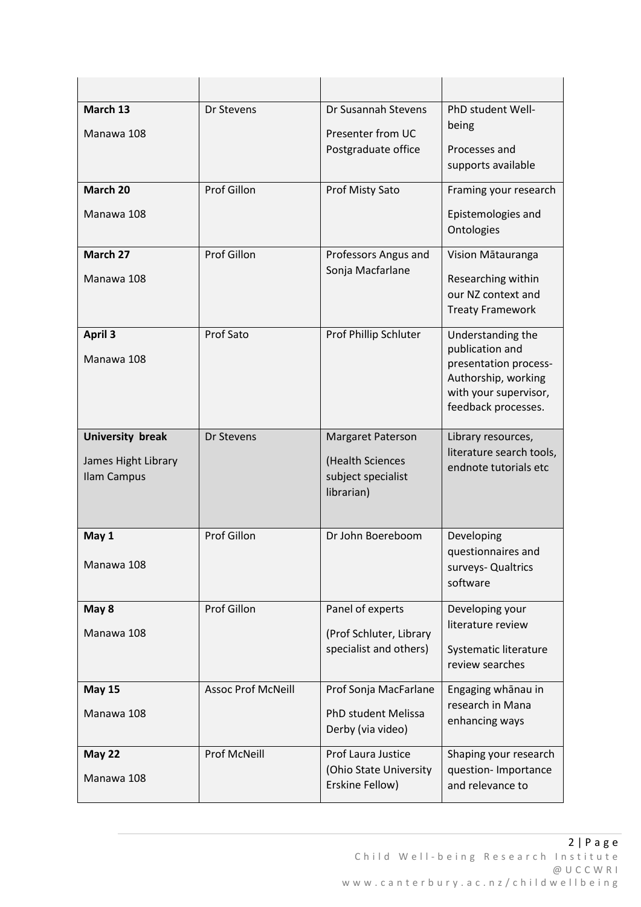| March 13<br>Manawa 108                                        | Dr Stevens                | Dr Susannah Stevens<br>Presenter from UC<br>Postgraduate office                  | PhD student Well-<br>being<br>Processes and<br>supports available                                                                    |
|---------------------------------------------------------------|---------------------------|----------------------------------------------------------------------------------|--------------------------------------------------------------------------------------------------------------------------------------|
| March 20<br>Manawa 108                                        | Prof Gillon               | Prof Misty Sato                                                                  | Framing your research<br>Epistemologies and<br>Ontologies                                                                            |
| March 27<br>Manawa 108                                        | Prof Gillon               | Professors Angus and<br>Sonja Macfarlane                                         | Vision Mātauranga<br>Researching within<br>our NZ context and<br><b>Treaty Framework</b>                                             |
| <b>April 3</b><br>Manawa 108                                  | Prof Sato                 | Prof Phillip Schluter                                                            | Understanding the<br>publication and<br>presentation process-<br>Authorship, working<br>with your supervisor,<br>feedback processes. |
| <b>University break</b><br>James Hight Library<br>Ilam Campus | Dr Stevens                | <b>Margaret Paterson</b><br>(Health Sciences<br>subject specialist<br>librarian) | Library resources,<br>literature search tools,<br>endnote tutorials etc                                                              |
| May 1<br>Manawa 108                                           | Prof Gillon               | Dr John Boereboom                                                                | Developing<br>questionnaires and<br>surveys- Qualtrics<br>software                                                                   |
| May 8<br>Manawa 108                                           | Prof Gillon               | Panel of experts<br>(Prof Schluter, Library<br>specialist and others)            | Developing your<br>literature review<br>Systematic literature<br>review searches                                                     |
| <b>May 15</b><br>Manawa 108                                   | <b>Assoc Prof McNeill</b> | Prof Sonja MacFarlane<br>PhD student Melissa<br>Derby (via video)                | Engaging whānau in<br>research in Mana<br>enhancing ways                                                                             |
| <b>May 22</b><br>Manawa 108                                   | Prof McNeill              | Prof Laura Justice<br>(Ohio State University<br>Erskine Fellow)                  | Shaping your research<br>question- Importance<br>and relevance to                                                                    |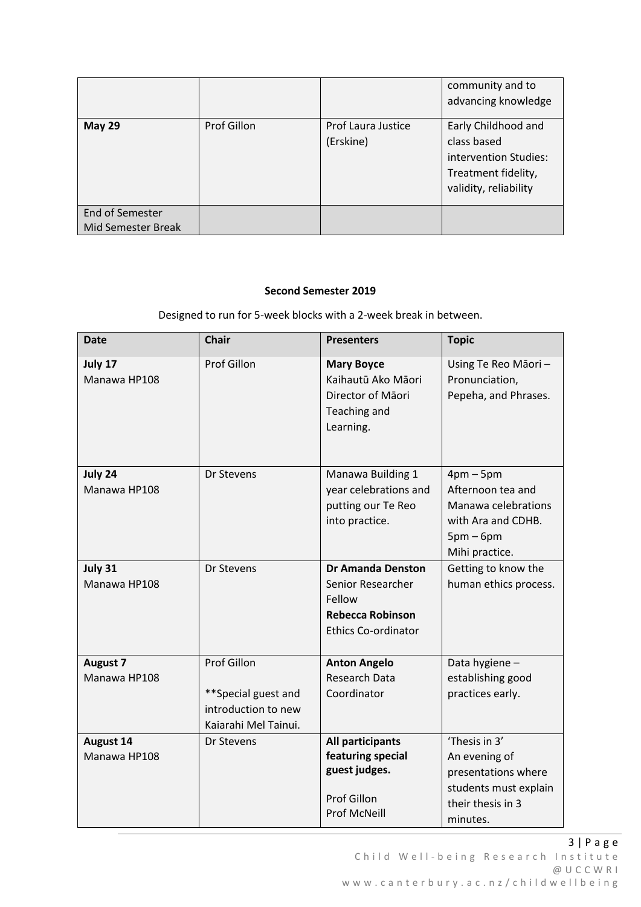|                                              |             |                                 | community and to<br>advancing knowledge                                                                     |
|----------------------------------------------|-------------|---------------------------------|-------------------------------------------------------------------------------------------------------------|
| <b>May 29</b>                                | Prof Gillon | Prof Laura Justice<br>(Erskine) | Early Childhood and<br>class based<br>intervention Studies:<br>Treatment fidelity,<br>validity, reliability |
| End of Semester<br><b>Mid Semester Break</b> |             |                                 |                                                                                                             |

#### **Second Semester 2019**

Designed to run for 5-week blocks with a 2-week break in between.

| <b>Date</b>                      | <b>Chair</b>                                                                      | <b>Presenters</b>                                                                                                | <b>Topic</b>                                                                                                    |
|----------------------------------|-----------------------------------------------------------------------------------|------------------------------------------------------------------------------------------------------------------|-----------------------------------------------------------------------------------------------------------------|
| July 17<br>Manawa HP108          | <b>Prof Gillon</b>                                                                | <b>Mary Boyce</b><br>Kaihautū Ako Māori<br>Director of Māori<br>Teaching and<br>Learning.                        | Using Te Reo Māori -<br>Pronunciation,<br>Pepeha, and Phrases.                                                  |
| July 24<br>Manawa HP108          | Dr Stevens                                                                        | Manawa Building 1<br>year celebrations and<br>putting our Te Reo<br>into practice.                               | $4pm-5pm$<br>Afternoon tea and<br>Manawa celebrations<br>with Ara and CDHB.<br>$5pm-6pm$<br>Mihi practice.      |
| July 31<br>Manawa HP108          | Dr Stevens                                                                        | <b>Dr Amanda Denston</b><br>Senior Researcher<br>Fellow<br><b>Rebecca Robinson</b><br><b>Ethics Co-ordinator</b> | Getting to know the<br>human ethics process.                                                                    |
| <b>August 7</b><br>Manawa HP108  | Prof Gillon<br>**Special guest and<br>introduction to new<br>Kaiarahi Mel Tainui. | <b>Anton Angelo</b><br><b>Research Data</b><br>Coordinator                                                       | Data hygiene-<br>establishing good<br>practices early.                                                          |
| <b>August 14</b><br>Manawa HP108 | Dr Stevens                                                                        | All participants<br>featuring special<br>guest judges.<br>Prof Gillon<br><b>Prof McNeill</b>                     | 'Thesis in 3'<br>An evening of<br>presentations where<br>students must explain<br>their thesis in 3<br>minutes. |